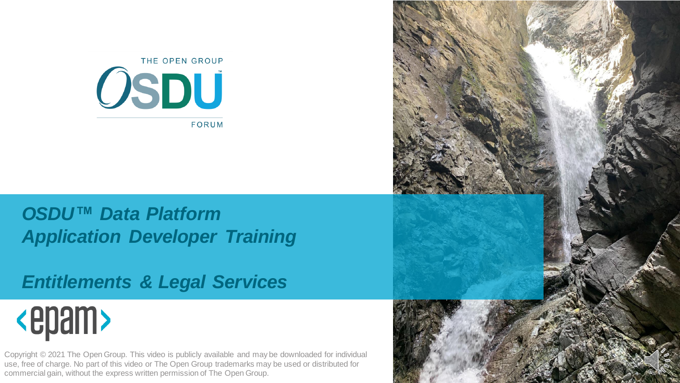

#### *OSDU™ Data Platform Application Developer Training*

#### *Entitlements & Legal Services*

# <epam>

Copyright © 2021 The Open Group. This video is publicly available and may be downloaded for individual use, free of charge. No part of this video or The Open Group trademarks may be used or distributed for commercial gain, without the express written permission of The Open Group.

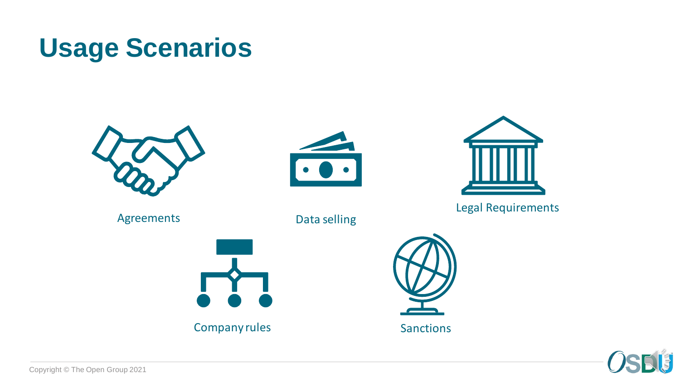#### **Usage Scenarios**









Company rules



Sanctions



Legal Requirements



Copyright © The Open Group 2021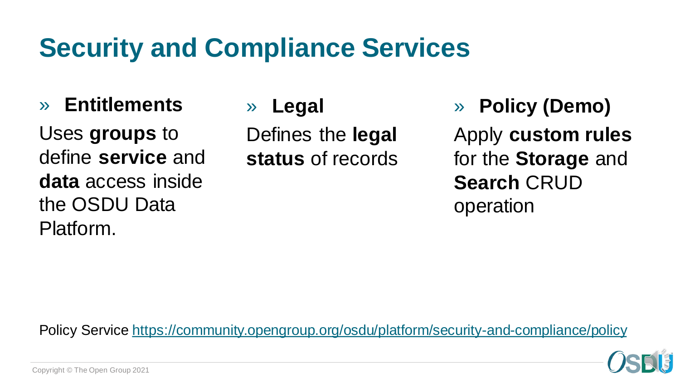#### **Security and Compliance Services**

» **Entitlements**

Uses **groups** to define **service** and **data** access inside the OSDU Data Platform.

» **Legal**

Defines the **legal status** of records » **Policy (Demo)**

Apply **custom rules**  for the **Storage** and **Search** CRUD operation

Policy Service<https://community.opengroup.org/osdu/platform/security-and-compliance/policy>

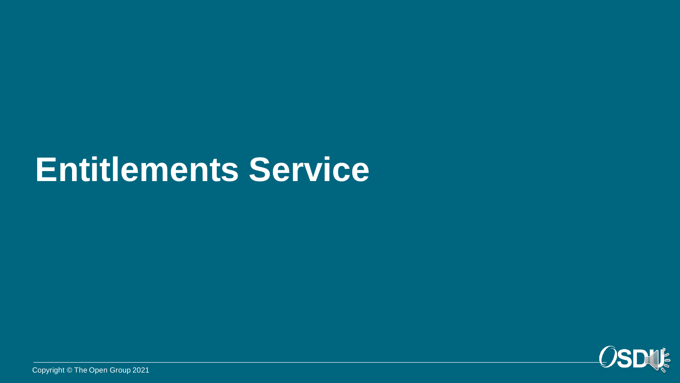## **Entitlements Service**



Copyright © The Open Group 2021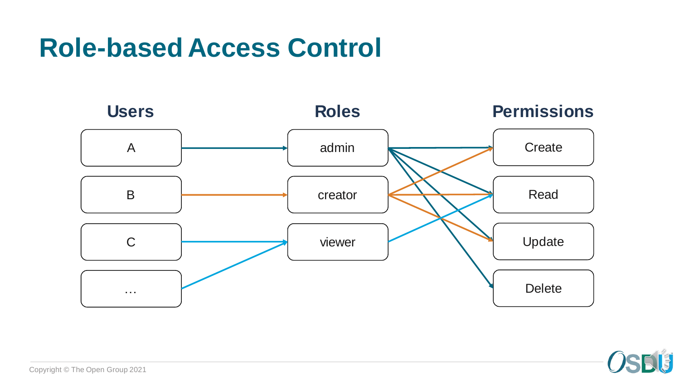#### **Role-based Access Control**



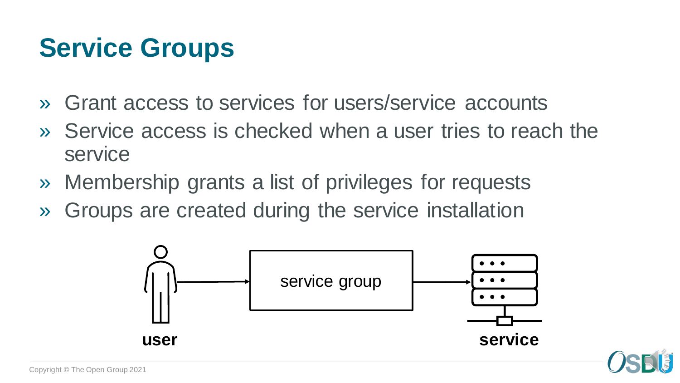### **Service Groups**

- » Grant access to services for users/service accounts
- » Service access is checked when a user tries to reach the service
- » Membership grants a list of privileges for requests
- » Groups are created during the service installation

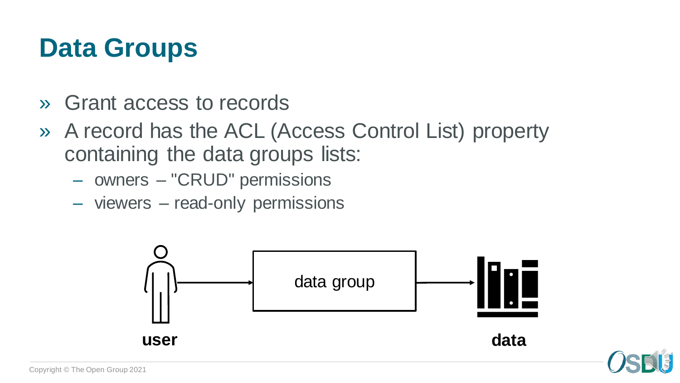#### **Data Groups**

- » Grant access to records
- » A record has the ACL (Access Control List) property containing the data groups lists:
	- owners "CRUD" permissions
	- viewers read-only permissions



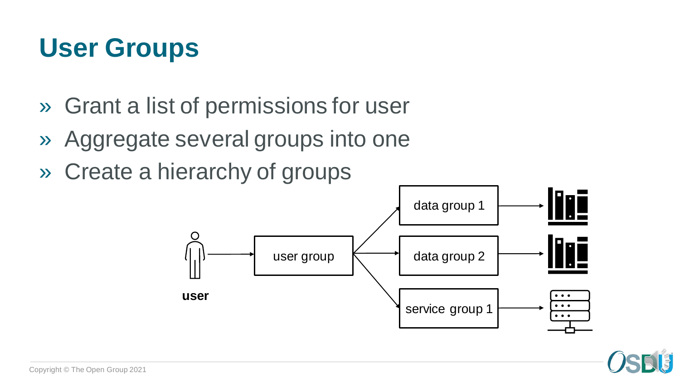#### **User Groups**

- » Grant a list of permissions for user
- » Aggregate several groups into one
- » Create a hierarchy of groups

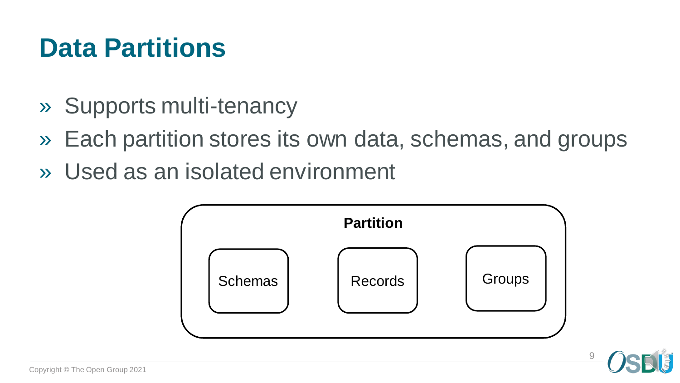### **Data Partitions**

- » Supports multi-tenancy
- » Each partition stores its own data, schemas, and groups
- » Used as an isolated environment



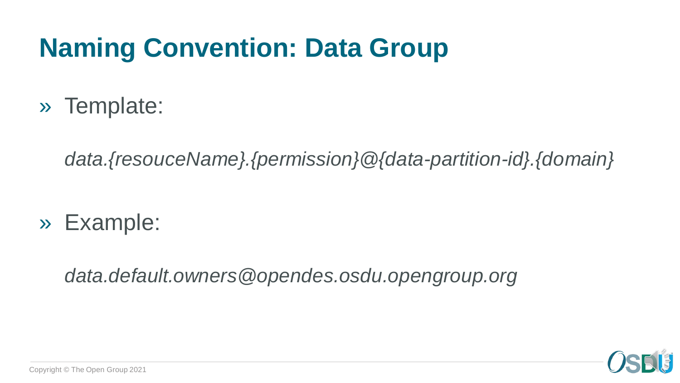### **Naming Convention: Data Group**

» Template:

*data.{resouceName}.{permission}@{data-partition-id}.{domain}*

» Example:

*data.default.owners@opendes.osdu.opengroup.org*

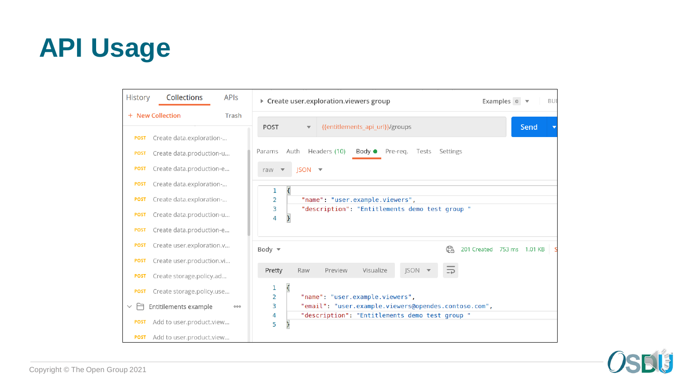

| <b>History</b>            | Collections               | <b>APIs</b> | ▶ Create user.exploration.viewers group<br>Examples $0 - \nabla$                                                                     | <b>BUI</b> |  |  |  |  |  |  |
|---------------------------|---------------------------|-------------|--------------------------------------------------------------------------------------------------------------------------------------|------------|--|--|--|--|--|--|
| + New Collection<br>Trash |                           |             |                                                                                                                                      |            |  |  |  |  |  |  |
| <b>POST</b>               | Create data.exploration-  |             | {{entitlements_api_url}}/groups<br><b>POST</b><br>$\overline{\mathbf{v}}$                                                            | Send       |  |  |  |  |  |  |
| <b>POST</b>               | Create data.production-u  |             | Auth<br>Headers (10)<br>$Body \bullet$ Pre-req.<br>Tests<br>Params<br>Settings                                                       |            |  |  |  |  |  |  |
| <b>POST</b>               | Create data.production-e  |             | $ISON =$<br>raw<br>$\overline{\mathbf{v}}$                                                                                           |            |  |  |  |  |  |  |
| <b>POST</b>               | Create data.exploration-  |             |                                                                                                                                      |            |  |  |  |  |  |  |
| <b>POST</b>               | Create data.exploration-  |             | $\mathcal{E}_{\mathcal{A}}$<br>1<br>"name": "user.example.viewers",<br>2<br>"description": "Entitlements demo test group "<br>3<br>4 |            |  |  |  |  |  |  |
| <b>POST</b>               | Create data.production-u  |             |                                                                                                                                      |            |  |  |  |  |  |  |
| <b>POST</b>               | Create data.production-e  |             |                                                                                                                                      |            |  |  |  |  |  |  |
| <b>POST</b>               | Create user.exploration.v |             | Gà<br>201 Created 753 ms 1.01 KB<br>Body $\overline{\phantom{0}}$                                                                    |            |  |  |  |  |  |  |
| <b>POST</b>               | Create user.production.vi |             |                                                                                                                                      |            |  |  |  |  |  |  |
| <b>POST</b>               | Create storage.policy.ad  |             | Visualize<br><b>JSON</b><br>Pretty<br>Raw<br>Preview                                                                                 |            |  |  |  |  |  |  |
| <b>POST</b>               | Create storage.policy.use |             | $\overline{\mathcal{E}}$<br>1<br>"name": "user.example.viewers",<br>2                                                                |            |  |  |  |  |  |  |
| $\vee$ $\vdash$           | Entitilements example     | 000         | "email": "user.example.viewers@opendes.contoso.com",<br>3                                                                            |            |  |  |  |  |  |  |
| <b>POST</b>               | Add to user.product.view  |             | "description": "Entitlements demo test group "<br>4<br>5                                                                             |            |  |  |  |  |  |  |
| <b>POST</b>               | Add to user.product.view  |             |                                                                                                                                      |            |  |  |  |  |  |  |

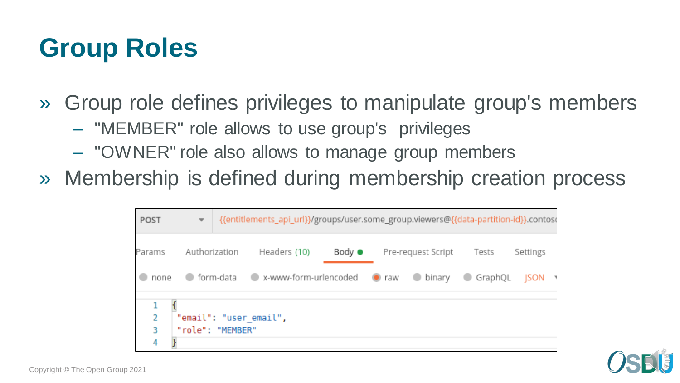#### **Group Roles**

- » Group role defines privileges to manipulate group's members
	- "MEMBER" role allows to use group's privileges
	- "OWNER" role also allows to manage group members
- » Membership is defined during membership creation process

| POST                                                 | $\overline{\mathbf{v}}$ |               | {{entitlements_api_url}}/groups/user.some_group.viewers@{{data-partition-id}}.contoso |                |  |                    |                |             |  |  |
|------------------------------------------------------|-------------------------|---------------|---------------------------------------------------------------------------------------|----------------|--|--------------------|----------------|-------------|--|--|
| Params                                               |                         | Authorization | Headers (10)                                                                          | Body $\bullet$ |  | Pre-request Script | Tests          | Settings    |  |  |
| none                                                 |                         |               | ● form-data ● x-www-form-urlencoded ● raw                                             |                |  | binary binary      | GraphQL<br>- 0 | <b>ISON</b> |  |  |
| 2<br>"email": "user email",<br>"role": "MEMBER"<br>3 |                         |               |                                                                                       |                |  |                    |                |             |  |  |

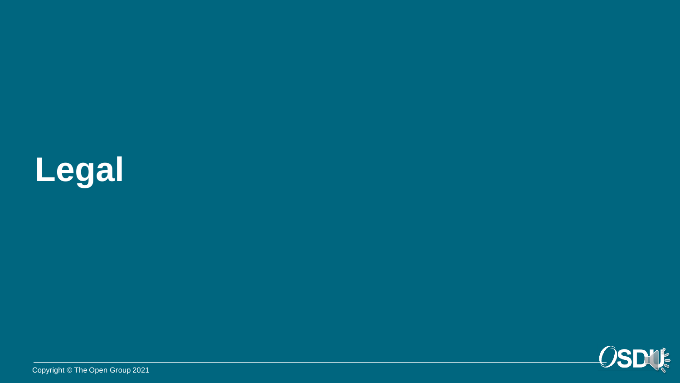



Copyright © The Open Group 2021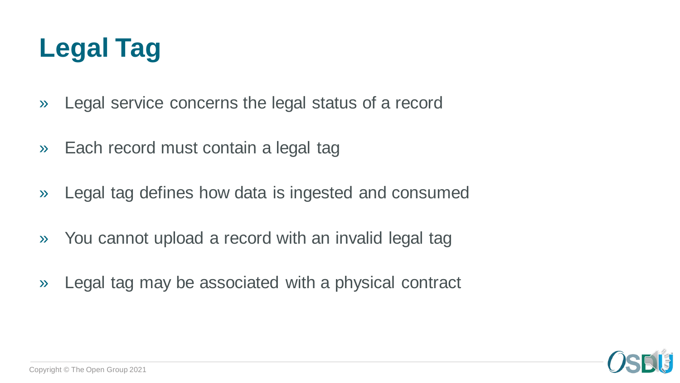

- » Legal service concerns the legal status of a record
- » Each record must contain a legal tag
- » Legal tag defines how data is ingested and consumed
- » You cannot upload a record with an invalid legal tag
- » Legal tag may be associated with a physical contract